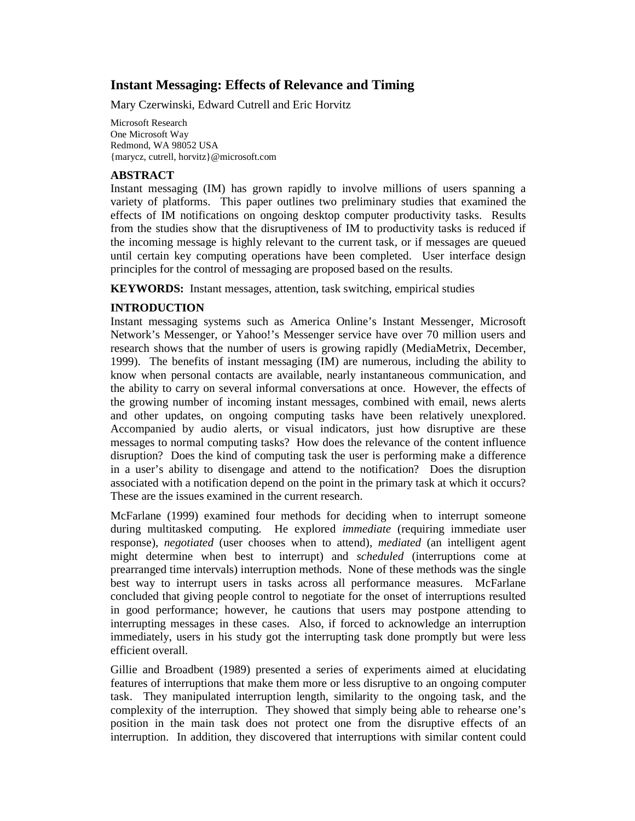# **Instant Messaging: Effects of Relevance and Timing**

Mary Czerwinski, Edward Cutrell and Eric Horvitz

Microsoft Research One Microsoft Way Redmond, WA 98052 USA {marycz, cutrell, horvitz}@microsoft.com

### **ABSTRACT**

Instant messaging (IM) has grown rapidly to involve millions of users spanning a variety of platforms. This paper outlines two preliminary studies that examined the effects of IM notifications on ongoing desktop computer productivity tasks. Results from the studies show that the disruptiveness of IM to productivity tasks is reduced if the incoming message is highly relevant to the current task, or if messages are queued until certain key computing operations have been completed. User interface design principles for the control of messaging are proposed based on the results.

**KEYWORDS:** Instant messages, attention, task switching, empirical studies

## **INTRODUCTION**

Instant messaging systems such as America Online's Instant Messenger, Microsoft Network's Messenger, or Yahoo!'s Messenger service have over 70 million users and research shows that the number of users is growing rapidly (MediaMetrix, December, 1999). The benefits of instant messaging (IM) are numerous, including the ability to know when personal contacts are available, nearly instantaneous communication, and the ability to carry on several informal conversations at once. However, the effects of the growing number of incoming instant messages, combined with email, news alerts and other updates, on ongoing computing tasks have been relatively unexplored. Accompanied by audio alerts, or visual indicators, just how disruptive are these messages to normal computing tasks? How does the relevance of the content influence disruption? Does the kind of computing task the user is performing make a difference in a user's ability to disengage and attend to the notification? Does the disruption associated with a notification depend on the point in the primary task at which it occurs? These are the issues examined in the current research.

McFarlane (1999) examined four methods for deciding when to interrupt someone during multitasked computing. He explored *immediate* (requiring immediate user response), *negotiated* (user chooses when to attend), *mediated* (an intelligent agent might determine when best to interrupt) and *scheduled* (interruptions come at prearranged time intervals) interruption methods. None of these methods was the single best way to interrupt users in tasks across all performance measures. McFarlane concluded that giving people control to negotiate for the onset of interruptions resulted in good performance; however, he cautions that users may postpone attending to interrupting messages in these cases. Also, if forced to acknowledge an interruption immediately, users in his study got the interrupting task done promptly but were less efficient overall.

Gillie and Broadbent (1989) presented a series of experiments aimed at elucidating features of interruptions that make them more or less disruptive to an ongoing computer task. They manipulated interruption length, similarity to the ongoing task, and the complexity of the interruption. They showed that simply being able to rehearse one's position in the main task does not protect one from the disruptive effects of an interruption. In addition, they discovered that interruptions with similar content could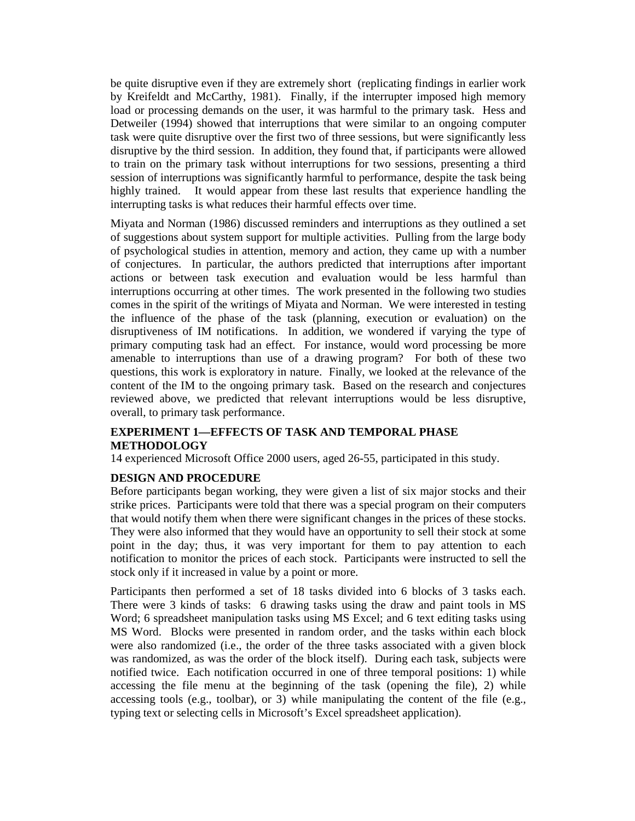be quite disruptive even if they are extremely short (replicating findings in earlier work by Kreifeldt and McCarthy, 1981). Finally, if the interrupter imposed high memory load or processing demands on the user, it was harmful to the primary task. Hess and Detweiler (1994) showed that interruptions that were similar to an ongoing computer task were quite disruptive over the first two of three sessions, but were significantly less disruptive by the third session. In addition, they found that, if participants were allowed to train on the primary task without interruptions for two sessions, presenting a third session of interruptions was significantly harmful to performance, despite the task being highly trained. It would appear from these last results that experience handling the interrupting tasks is what reduces their harmful effects over time.

Miyata and Norman (1986) discussed reminders and interruptions as they outlined a set of suggestions about system support for multiple activities. Pulling from the large body of psychological studies in attention, memory and action, they came up with a number of conjectures. In particular, the authors predicted that interruptions after important actions or between task execution and evaluation would be less harmful than interruptions occurring at other times. The work presented in the following two studies comes in the spirit of the writings of Miyata and Norman. We were interested in testing the influence of the phase of the task (planning, execution or evaluation) on the disruptiveness of IM notifications. In addition, we wondered if varying the type of primary computing task had an effect. For instance, would word processing be more amenable to interruptions than use of a drawing program? For both of these two questions, this work is exploratory in nature. Finally, we looked at the relevance of the content of the IM to the ongoing primary task. Based on the research and conjectures reviewed above, we predicted that relevant interruptions would be less disruptive, overall, to primary task performance.

## **EXPERIMENT 1—EFFECTS OF TASK AND TEMPORAL PHASE METHODOLOGY**

14 experienced Microsoft Office 2000 users, aged 26-55, participated in this study.

## **DESIGN AND PROCEDURE**

Before participants began working, they were given a list of six major stocks and their strike prices. Participants were told that there was a special program on their computers that would notify them when there were significant changes in the prices of these stocks. They were also informed that they would have an opportunity to sell their stock at some point in the day; thus, it was very important for them to pay attention to each notification to monitor the prices of each stock. Participants were instructed to sell the stock only if it increased in value by a point or more.

Participants then performed a set of 18 tasks divided into 6 blocks of 3 tasks each. There were 3 kinds of tasks: 6 drawing tasks using the draw and paint tools in MS Word; 6 spreadsheet manipulation tasks using MS Excel; and 6 text editing tasks using MS Word. Blocks were presented in random order, and the tasks within each block were also randomized (i.e., the order of the three tasks associated with a given block was randomized, as was the order of the block itself). During each task, subjects were notified twice. Each notification occurred in one of three temporal positions: 1) while accessing the file menu at the beginning of the task (opening the file), 2) while accessing tools (e.g., toolbar), or 3) while manipulating the content of the file (e.g., typing text or selecting cells in Microsoft's Excel spreadsheet application).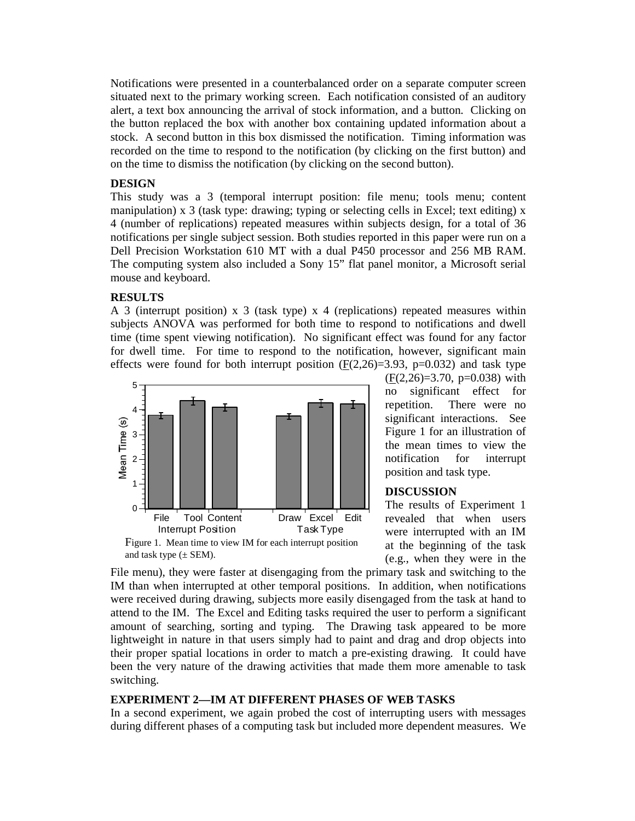Notifications were presented in a counterbalanced order on a separate computer screen situated next to the primary working screen. Each notification consisted of an auditory alert, a text box announcing the arrival of stock information, and a button. Clicking on the button replaced the box with another box containing updated information about a stock. A second button in this box dismissed the notification. Timing information was recorded on the time to respond to the notification (by clicking on the first button) and on the time to dismiss the notification (by clicking on the second button).

#### **DESIGN**

This study was a 3 (temporal interrupt position: file menu; tools menu; content manipulation) x 3 (task type: drawing; typing or selecting cells in Excel; text editing) x 4 (number of replications) repeated measures within subjects design, for a total of 36 notifications per single subject session. Both studies reported in this paper were run on a Dell Precision Workstation 610 MT with a dual P450 processor and 256 MB RAM. The computing system also included a Sony 15" flat panel monitor, a Microsoft serial mouse and keyboard.

#### **RESULTS**

A 3 (interrupt position) x 3 (task type) x 4 (replications) repeated measures within subjects ANOVA was performed for both time to respond to notifications and dwell time (time spent viewing notification). No significant effect was found for any factor for dwell time. For time to respond to the notification, however, significant main effects were found for both interrupt position  $(E(2,26)=3.93, p=0.032)$  and task type



position and task type. **DISCUSSION**

Figure 1. Mean time to view IM for each interrupt position and task type  $(\pm$  SEM).

The results of Experiment 1 revealed that when users were interrupted with an IM at the beginning of the task (e.g., when they were in the

 $(F(2,26)=3.70, p=0.038)$  with no significant effect for repetition. There were no significant interactions. See Figure 1 for an illustration of the mean times to view the notification for interrupt

File menu), they were faster at disengaging from the primary task and switching to the IM than when interrupted at other temporal positions. In addition, when notifications were received during drawing, subjects more easily disengaged from the task at hand to attend to the IM. The Excel and Editing tasks required the user to perform a significant amount of searching, sorting and typing. The Drawing task appeared to be more lightweight in nature in that users simply had to paint and drag and drop objects into their proper spatial locations in order to match a pre-existing drawing. It could have been the very nature of the drawing activities that made them more amenable to task switching.

### **EXPERIMENT 2—IM AT DIFFERENT PHASES OF WEB TASKS**

In a second experiment, we again probed the cost of interrupting users with messages during different phases of a computing task but included more dependent measures. We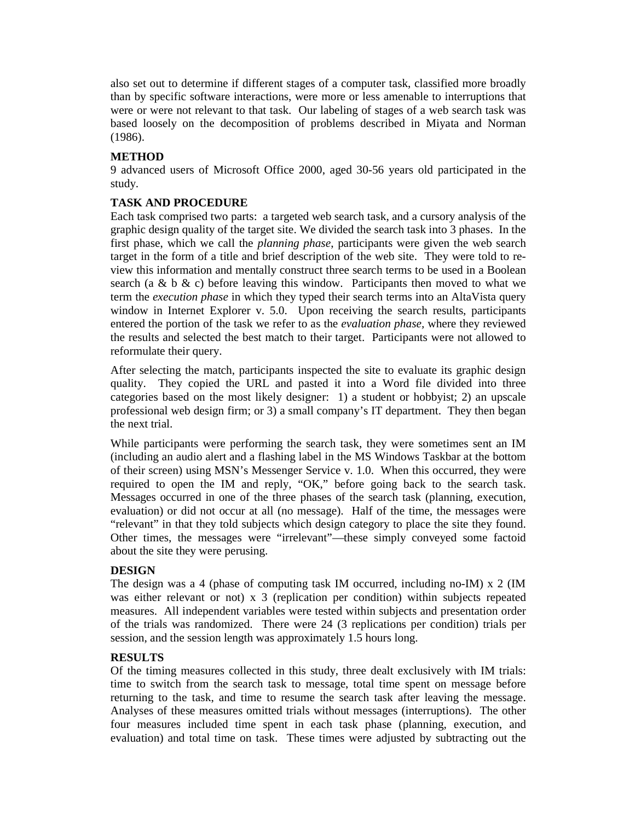also set out to determine if different stages of a computer task, classified more broadly than by specific software interactions, were more or less amenable to interruptions that were or were not relevant to that task. Our labeling of stages of a web search task was based loosely on the decomposition of problems described in Miyata and Norman (1986).

### **METHOD**

9 advanced users of Microsoft Office 2000, aged 30-56 years old participated in the study.

## **TASK AND PROCEDURE**

Each task comprised two parts: a targeted web search task, and a cursory analysis of the graphic design quality of the target site. We divided the search task into 3 phases. In the first phase, which we call the *planning phase*, participants were given the web search target in the form of a title and brief description of the web site. They were told to review this information and mentally construct three search terms to be used in a Boolean search (a & b & c) before leaving this window. Participants then moved to what we term the *execution phase* in which they typed their search terms into an AltaVista query window in Internet Explorer v. 5.0. Upon receiving the search results, participants entered the portion of the task we refer to as the *evaluation phase,* where they reviewed the results and selected the best match to their target. Participants were not allowed to reformulate their query.

After selecting the match, participants inspected the site to evaluate its graphic design quality. They copied the URL and pasted it into a Word file divided into three categories based on the most likely designer: 1) a student or hobbyist; 2) an upscale professional web design firm; or 3) a small company's IT department. They then began the next trial.

While participants were performing the search task, they were sometimes sent an IM (including an audio alert and a flashing label in the MS Windows Taskbar at the bottom of their screen) using MSN's Messenger Service v. 1.0. When this occurred, they were required to open the IM and reply, "OK," before going back to the search task. Messages occurred in one of the three phases of the search task (planning, execution, evaluation) or did not occur at all (no message). Half of the time, the messages were "relevant" in that they told subjects which design category to place the site they found. Other times, the messages were "irrelevant"—these simply conveyed some factoid about the site they were perusing.

### **DESIGN**

The design was a 4 (phase of computing task IM occurred, including no-IM) x 2 (IM was either relevant or not) x 3 (replication per condition) within subjects repeated measures. All independent variables were tested within subjects and presentation order of the trials was randomized. There were 24 (3 replications per condition) trials per session, and the session length was approximately 1.5 hours long.

### **RESULTS**

Of the timing measures collected in this study, three dealt exclusively with IM trials: time to switch from the search task to message, total time spent on message before returning to the task, and time to resume the search task after leaving the message. Analyses of these measures omitted trials without messages (interruptions). The other four measures included time spent in each task phase (planning, execution, and evaluation) and total time on task. These times were adjusted by subtracting out the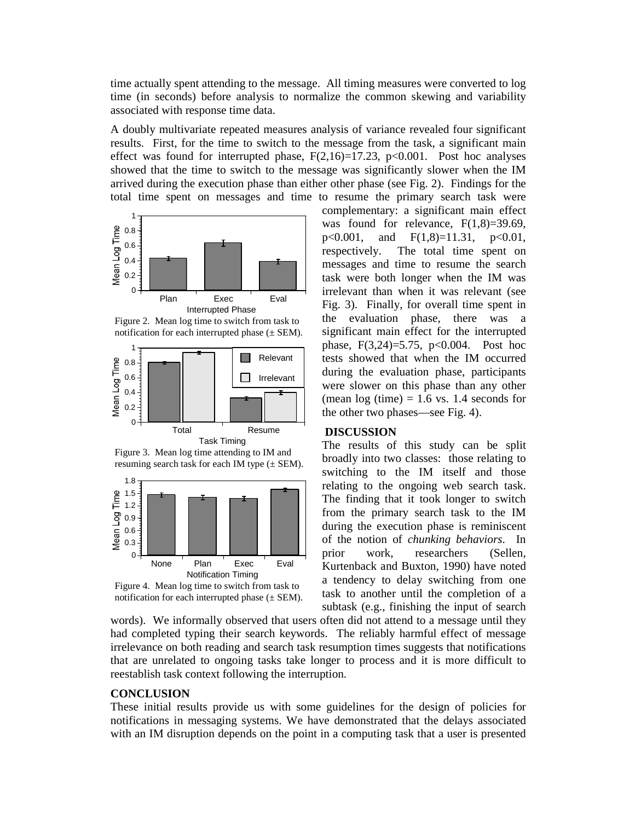time actually spent attending to the message. All timing measures were converted to log time (in seconds) before analysis to normalize the common skewing and variability associated with response time data.

A doubly multivariate repeated measures analysis of variance revealed four significant results. First, for the time to switch to the message from the task, a significant main effect was found for interrupted phase,  $F(2,16)=17.23$ ,  $p<0.001$ . Post hoc analyses showed that the time to switch to the message was significantly slower when the IM arrived during the execution phase than either other phase (see Fig. 2). Findings for the total time spent on messages and time to resume the primary search task were



Figure 2. Mean log time to switch from task to notification for each interrupted phase  $(\pm$  SEM).



Figure 3. Mean log time attending to IM and resuming search task for each IM type  $(\pm$  SEM).



Figure 4. Mean log time to switch from task to notification for each interrupted phase  $(\pm$  SEM).

complementary: a significant main effect was found for relevance,  $F(1,8)=39.69$ ,  $p<0.001$ , and  $F(1,8)=11.31$ ,  $p<0.01$ , respectively. The total time spent on messages and time to resume the search task were both longer when the IM was irrelevant than when it was relevant (see Fig. 3). Finally, for overall time spent in the evaluation phase, there was a significant main effect for the interrupted phase, F(3,24)=5.75, p<0.004. Post hoc tests showed that when the IM occurred during the evaluation phase, participants were slower on this phase than any other (mean  $log(time) = 1.6$  vs. 1.4 seconds for the other two phases—see Fig. 4).

#### **DISCUSSION**

The results of this study can be split broadly into two classes: those relating to switching to the IM itself and those relating to the ongoing web search task. The finding that it took longer to switch from the primary search task to the IM during the execution phase is reminiscent of the notion of *chunking behaviors*. In prior work, researchers (Sellen, Kurtenback and Buxton, 1990) have noted a tendency to delay switching from one task to another until the completion of a subtask (e.g., finishing the input of search

words). We informally observed that users often did not attend to a message until they had completed typing their search keywords. The reliably harmful effect of message irrelevance on both reading and search task resumption times suggests that notifications that are unrelated to ongoing tasks take longer to process and it is more difficult to reestablish task context following the interruption.

#### **CONCLUSION**

These initial results provide us with some guidelines for the design of policies for notifications in messaging systems. We have demonstrated that the delays associated with an IM disruption depends on the point in a computing task that a user is presented